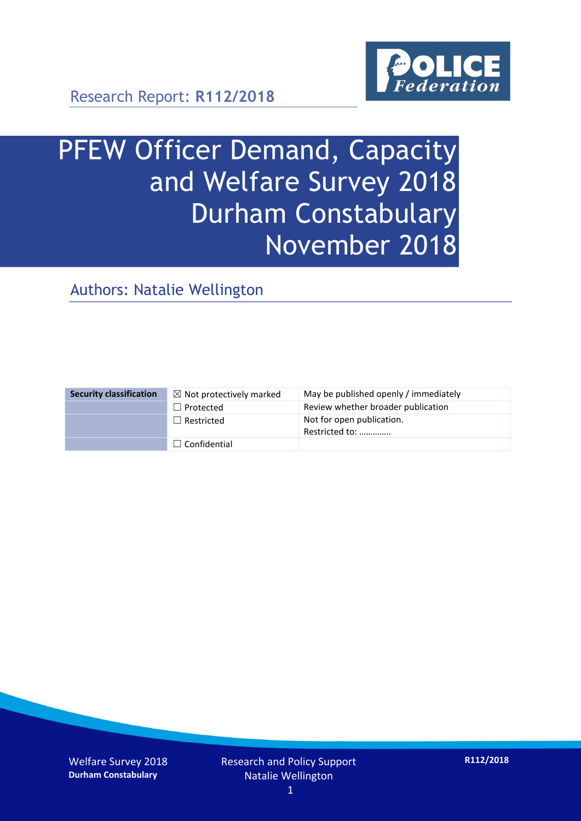

# PFEW Officer Demand, Capacity and Welfare Survey 2018 Durham Constabulary November 2018

Authors: Natalie Wellington

| <b>Security classification</b> | $\boxtimes$ Not protectively marked | May be published openly / immediately       |
|--------------------------------|-------------------------------------|---------------------------------------------|
|                                | $\Box$ Protected                    | Review whether broader publication          |
|                                | $\Box$ Restricted                   | Not for open publication.<br>Restricted to: |
|                                | $\Box$ Confidential                 |                                             |

Welfare Survey 2018 **Durham Constabulary**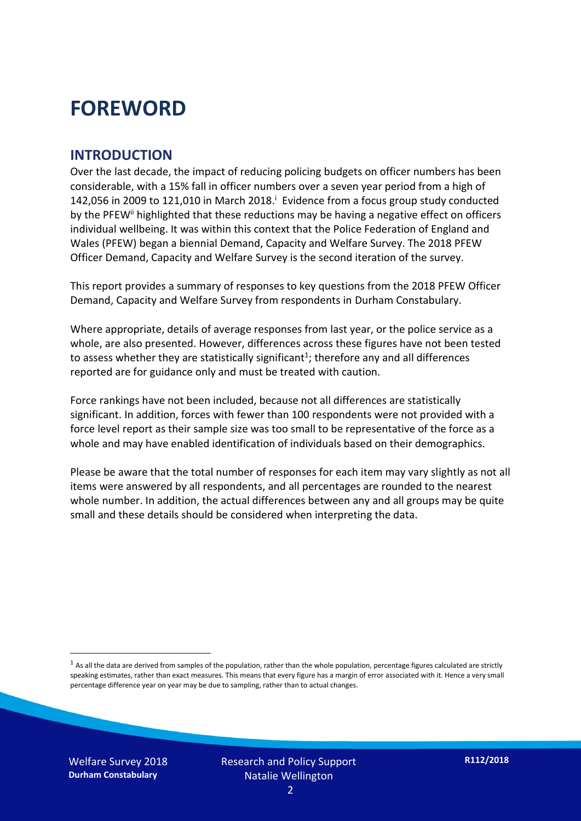## **FOREWORD**

#### **INTRODUCTION**

Over the last decade, the impact of reducing policing budgets on officer numbers has been considerable, with a 15% fall in officer numbers over a seven year period from a high of 142,056 in 2009 to 121,010 in March 2018. $^{\mathrm{i}}$  Evidence from a focus group study conducted by the PFEW<sup>ii</sup> highlighted that these reductions may be having a negative effect on officers individual wellbeing. It was within this context that the Police Federation of England and Wales (PFEW) began a biennial Demand, Capacity and Welfare Survey. The 2018 PFEW Officer Demand, Capacity and Welfare Survey is the second iteration of the survey.

This report provides a summary of responses to key questions from the 2018 PFEW Officer Demand, Capacity and Welfare Survey from respondents in Durham Constabulary.

Where appropriate, details of average responses from last year, or the police service as a whole, are also presented. However, differences across these figures have not been tested to assess whether they are statistically significant<sup>1</sup>; therefore any and all differences reported are for guidance only and must be treated with caution.

Force rankings have not been included, because not all differences are statistically significant. In addition, forces with fewer than 100 respondents were not provided with a force level report as their sample size was too small to be representative of the force as a whole and may have enabled identification of individuals based on their demographics.

Please be aware that the total number of responses for each item may vary slightly as not all items were answered by all respondents, and all percentages are rounded to the nearest whole number. In addition, the actual differences between any and all groups may be quite small and these details should be considered when interpreting the data.

Welfare Survey 2018 **Durham Constabulary**

-

 $<sup>1</sup>$  As all the data are derived from samples of the population, rather than the whole population, percentage figures calculated are strictly</sup> speaking estimates, rather than exact measures. This means that every figure has a margin of error associated with it. Hence a very small percentage difference year on year may be due to sampling, rather than to actual changes.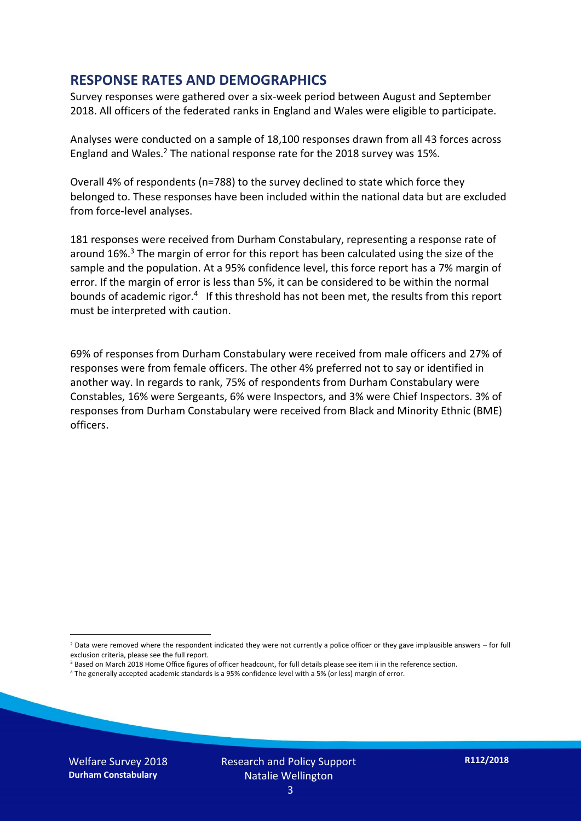#### **RESPONSE RATES AND DEMOGRAPHICS**

Survey responses were gathered over a six-week period between August and September 2018. All officers of the federated ranks in England and Wales were eligible to participate.

Analyses were conducted on a sample of 18,100 responses drawn from all 43 forces across England and Wales.<sup>2</sup> The national response rate for the 2018 survey was 15%.

Overall 4% of respondents (n=788) to the survey declined to state which force they belonged to. These responses have been included within the national data but are excluded from force-level analyses.

181 responses were received from Durham Constabulary, representing a response rate of around 16%. <sup>3</sup> The margin of error for this report has been calculated using the size of the sample and the population. At a 95% confidence level, this force report has a 7% margin of error. If the margin of error is less than 5%, it can be considered to be within the normal bounds of academic rigor.<sup>4</sup> If this threshold has not been met, the results from this report must be interpreted with caution.

69% of responses from Durham Constabulary were received from male officers and 27% of responses were from female officers. The other 4% preferred not to say or identified in another way. In regards to rank, 75% of respondents from Durham Constabulary were Constables, 16% were Sergeants, 6% were Inspectors, and 3% were Chief Inspectors. 3% of responses from Durham Constabulary were received from Black and Minority Ethnic (BME) officers.

-

 $2$  Data were removed where the respondent indicated they were not currently a police officer or they gave implausible answers – for full exclusion criteria, please see the full report.

<sup>3</sup> Based on March 2018 Home Office figures of officer headcount, for full details please see item ii in the reference section.

<sup>4</sup> The generally accepted academic standards is a 95% confidence level with a 5% (or less) margin of error.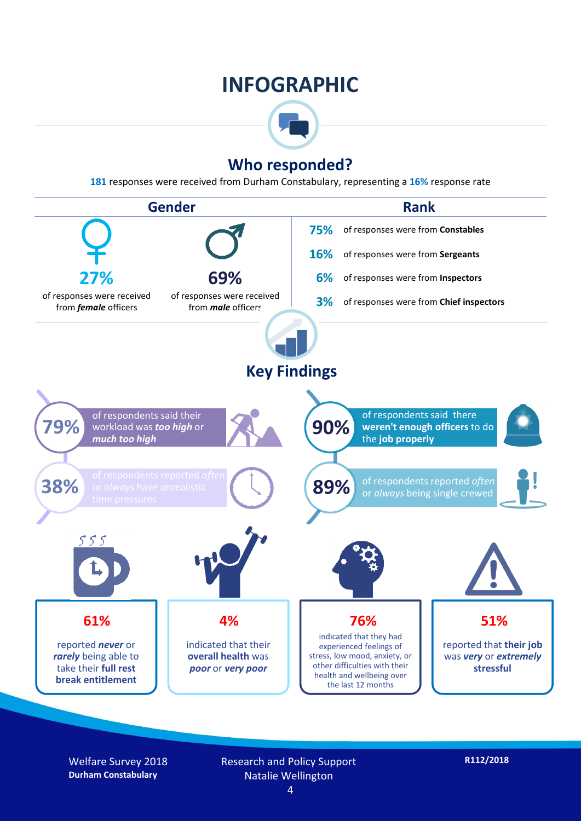## **INFOGRAPHIC**



### **Who responded?**

**181** responses were received from Durham Constabulary, representing a **16%** response rate



Welfare Survey 2018 **Durham Constabulary**

Research and Policy Support Natalie Wellington

4

**R112/2018**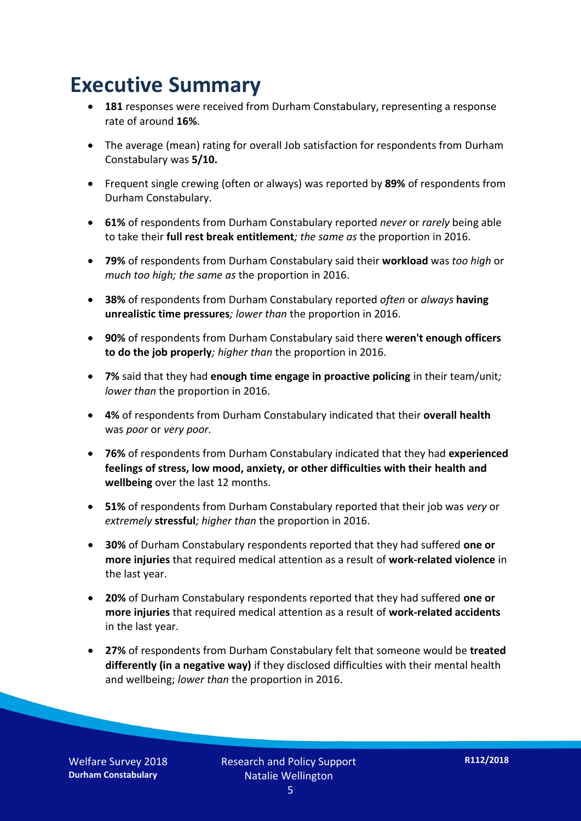## **Executive Summary**

- **181** responses were received from Durham Constabulary, representing a response rate of around **16%**.
- The average (mean) rating for overall Job satisfaction for respondents from Durham Constabulary was **5/10.**
- Frequent single crewing (often or always) was reported by **89%** of respondents from Durham Constabulary.
- **61%** of respondents from Durham Constabulary reported *never* or *rarely* being able to take their **full rest break entitlement***; the same as* the proportion in 2016.
- **79%** of respondents from Durham Constabulary said their **workload** was *too high* or *much too high; the same as* the proportion in 2016.
- **38%** of respondents from Durham Constabulary reported *often* or *always* **having unrealistic time pressures***; lower than* the proportion in 2016.
- **90%** of respondents from Durham Constabulary said there **weren't enough officers to do the job properly***; higher than* the proportion in 2016.
- **7%** said that they had **enough time engage in proactive policing** in their team/unit*; lower than* the proportion in 2016.
- **4%** of respondents from Durham Constabulary indicated that their **overall health** was *poor* or *very poor.*
- **76%** of respondents from Durham Constabulary indicated that they had **experienced feelings of stress, low mood, anxiety, or other difficulties with their health and wellbeing** over the last 12 months.
- **51%** of respondents from Durham Constabulary reported that their job was *very* or *extremely* **stressful***; higher than* the proportion in 2016.
- **30%** of Durham Constabulary respondents reported that they had suffered **one or more injuries** that required medical attention as a result of **work-related violence** in the last year.
- **20%** of Durham Constabulary respondents reported that they had suffered **one or more injuries** that required medical attention as a result of **work-related accidents**  in the last year.
- **27%** of respondents from Durham Constabulary felt that someone would be **treated differently (in a negative way)** if they disclosed difficulties with their mental health and wellbeing; *lower than* the proportion in 2016.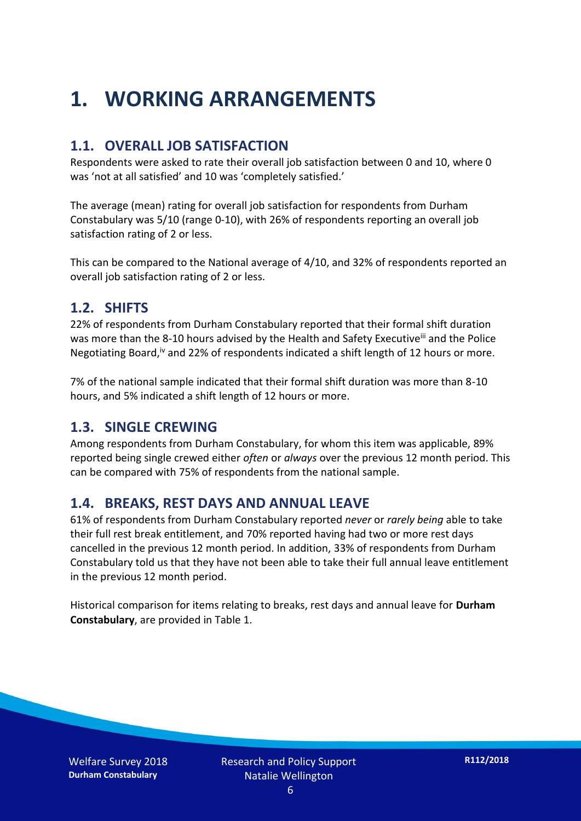## **1. WORKING ARRANGEMENTS**

#### **1.1. OVERALL JOB SATISFACTION**

Respondents were asked to rate their overall job satisfaction between 0 and 10, where 0 was 'not at all satisfied' and 10 was 'completely satisfied.'

The average (mean) rating for overall job satisfaction for respondents from Durham Constabulary was 5/10 (range 0-10), with 26% of respondents reporting an overall job satisfaction rating of 2 or less.

This can be compared to the National average of 4/10, and 32% of respondents reported an overall job satisfaction rating of 2 or less.

#### **1.2. SHIFTS**

22% of respondents from Durham Constabulary reported that their formal shift duration was more than the 8-10 hours advised by the Health and Safety Executive<sup>iii</sup> and the Police Negotiating Board,iv and 22% of respondents indicated a shift length of 12 hours or more.

7% of the national sample indicated that their formal shift duration was more than 8-10 hours, and 5% indicated a shift length of 12 hours or more.

#### **1.3. SINGLE CREWING**

Among respondents from Durham Constabulary, for whom this item was applicable, 89% reported being single crewed either *often* or *always* over the previous 12 month period. This can be compared with 75% of respondents from the national sample.

#### **1.4. BREAKS, REST DAYS AND ANNUAL LEAVE**

61% of respondents from Durham Constabulary reported *never* or *rarely being* able to take their full rest break entitlement, and 70% reported having had two or more rest days cancelled in the previous 12 month period. In addition, 33% of respondents from Durham Constabulary told us that they have not been able to take their full annual leave entitlement in the previous 12 month period.

Historical comparison for items relating to breaks, rest days and annual leave for **Durham Constabulary**, are provided in Table 1.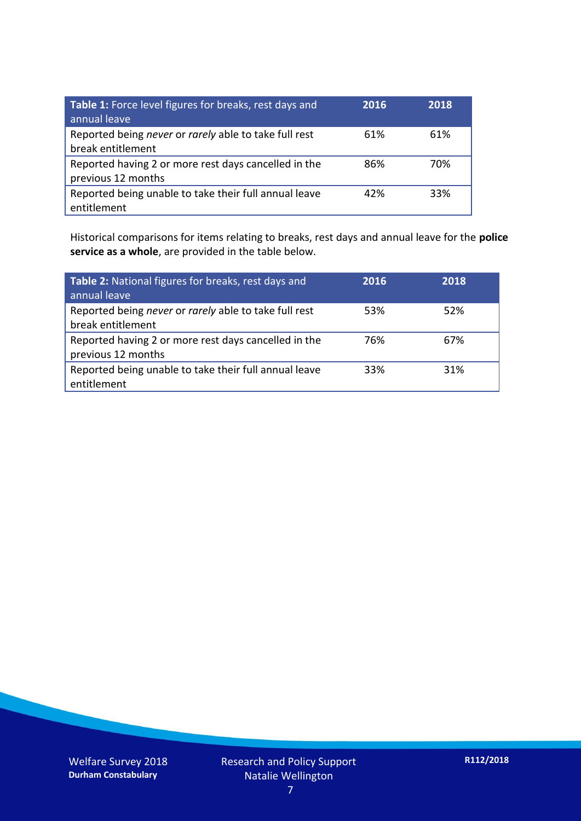| Table 1: Force level figures for breaks, rest days and<br>annual leave     | 2016 | 2018 |
|----------------------------------------------------------------------------|------|------|
| Reported being never or rarely able to take full rest<br>break entitlement | 61%  | 61%  |
| Reported having 2 or more rest days cancelled in the<br>previous 12 months | 86%  | 70%  |
| Reported being unable to take their full annual leave<br>entitlement       | 42%  | 33%  |

Historical comparisons for items relating to breaks, rest days and annual leave for the **police service as a whole**, are provided in the table below.

| Table 2: National figures for breaks, rest days and<br>annual leave        | 2016 | 2018 |
|----------------------------------------------------------------------------|------|------|
| Reported being never or rarely able to take full rest<br>break entitlement | 53%  | 52%  |
| Reported having 2 or more rest days cancelled in the<br>previous 12 months | 76%  | 67%  |
| Reported being unable to take their full annual leave<br>entitlement       | 33%  | 31%  |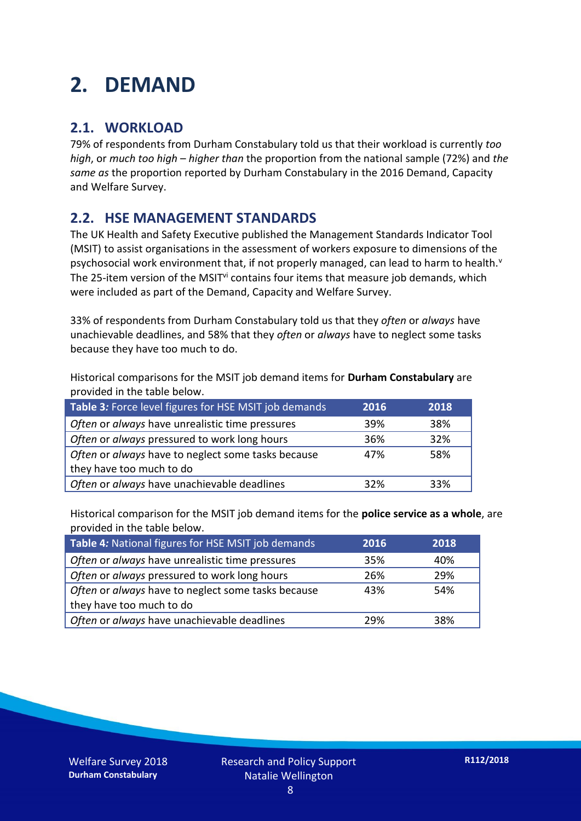## **2. DEMAND**

### **2.1. WORKLOAD**

79% of respondents from Durham Constabulary told us that their workload is currently *too high*, or *much too high* – *higher than* the proportion from the national sample (72%) and *the same as* the proportion reported by Durham Constabulary in the 2016 Demand, Capacity and Welfare Survey.

### **2.2. HSE MANAGEMENT STANDARDS**

The UK Health and Safety Executive published the Management Standards Indicator Tool (MSIT) to assist organisations in the assessment of workers exposure to dimensions of the psychosocial work environment that, if not properly managed, can lead to harm to health.<sup>v</sup> The 25-item version of the MSIT<sup>vi</sup> contains four items that measure job demands, which were included as part of the Demand, Capacity and Welfare Survey.

33% of respondents from Durham Constabulary told us that they *often* or *always* have unachievable deadlines, and 58% that they *often* or *always* have to neglect some tasks because they have too much to do.

Historical comparisons for the MSIT job demand items for **Durham Constabulary** are provided in the table below.

| Table 3: Force level figures for HSE MSIT job demands | 2016 | 2018 |
|-------------------------------------------------------|------|------|
| Often or always have unrealistic time pressures       | 39%  | 38%  |
| Often or always pressured to work long hours          | 36%  | 32%  |
| Often or always have to neglect some tasks because    | 47%  | 58%  |
| they have too much to do                              |      |      |
| Often or always have unachievable deadlines           | 32%  | 33%  |

Historical comparison for the MSIT job demand items for the **police service as a whole**, are provided in the table below.

| Table 4: National figures for HSE MSIT job demands | 2016 | 2018 |
|----------------------------------------------------|------|------|
| Often or always have unrealistic time pressures    | 35%  | 40%  |
| Often or always pressured to work long hours       | 26%  | 29%  |
| Often or always have to neglect some tasks because | 43%  | 54%  |
| they have too much to do                           |      |      |
| Often or always have unachievable deadlines        | 29%  | 38%  |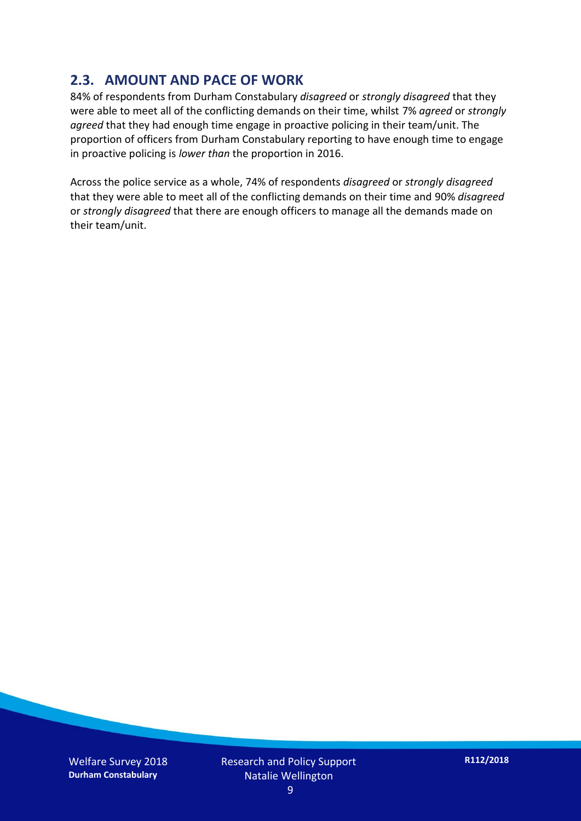### **2.3. AMOUNT AND PACE OF WORK**

84% of respondents from Durham Constabulary *disagreed* or *strongly disagreed* that they were able to meet all of the conflicting demands on their time, whilst 7% *agreed* or *strongly agreed* that they had enough time engage in proactive policing in their team/unit. The proportion of officers from Durham Constabulary reporting to have enough time to engage in proactive policing is *lower than* the proportion in 2016.

Across the police service as a whole, 74% of respondents *disagreed* or *strongly disagreed* that they were able to meet all of the conflicting demands on their time and 90% *disagreed* or *strongly disagreed* that there are enough officers to manage all the demands made on their team/unit.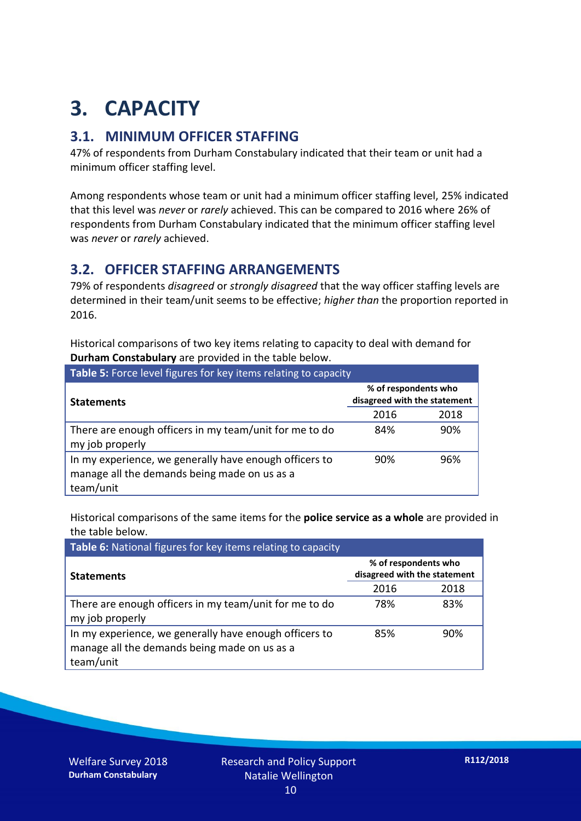## **3. CAPACITY**

### **3.1. MINIMUM OFFICER STAFFING**

47% of respondents from Durham Constabulary indicated that their team or unit had a minimum officer staffing level.

Among respondents whose team or unit had a minimum officer staffing level, 25% indicated that this level was *never* or *rarely* achieved. This can be compared to 2016 where 26% of respondents from Durham Constabulary indicated that the minimum officer staffing level was *never* or *rarely* achieved.

#### **3.2. OFFICER STAFFING ARRANGEMENTS**

79% of respondents *disagreed* or *strongly disagreed* that the way officer staffing levels are determined in their team/unit seems to be effective; *higher than* the proportion reported in 2016.

Historical comparisons of two key items relating to capacity to deal with demand for **Durham Constabulary** are provided in the table below.

| <b>Table 5:</b> Force level figures for key items relating to capacity                                              |                                                      |      |  |
|---------------------------------------------------------------------------------------------------------------------|------------------------------------------------------|------|--|
| <b>Statements</b>                                                                                                   | % of respondents who<br>disagreed with the statement |      |  |
|                                                                                                                     | 2016                                                 | 2018 |  |
| There are enough officers in my team/unit for me to do<br>my job properly                                           | 84%                                                  | 90%  |  |
| In my experience, we generally have enough officers to<br>manage all the demands being made on us as a<br>team/unit | 90%                                                  | 96%  |  |

Historical comparisons of the same items for the **police service as a whole** are provided in the table below.

| Table 6: National figures for key items relating to capacity                                                        |                                                      |      |  |  |
|---------------------------------------------------------------------------------------------------------------------|------------------------------------------------------|------|--|--|
| <b>Statements</b>                                                                                                   | % of respondents who<br>disagreed with the statement |      |  |  |
|                                                                                                                     | 2016                                                 | 2018 |  |  |
| There are enough officers in my team/unit for me to do<br>my job properly                                           | 78%                                                  | 83%  |  |  |
| In my experience, we generally have enough officers to<br>manage all the demands being made on us as a<br>team/unit | 85%                                                  | 90%  |  |  |

Welfare Survey 2018 **Durham Constabulary**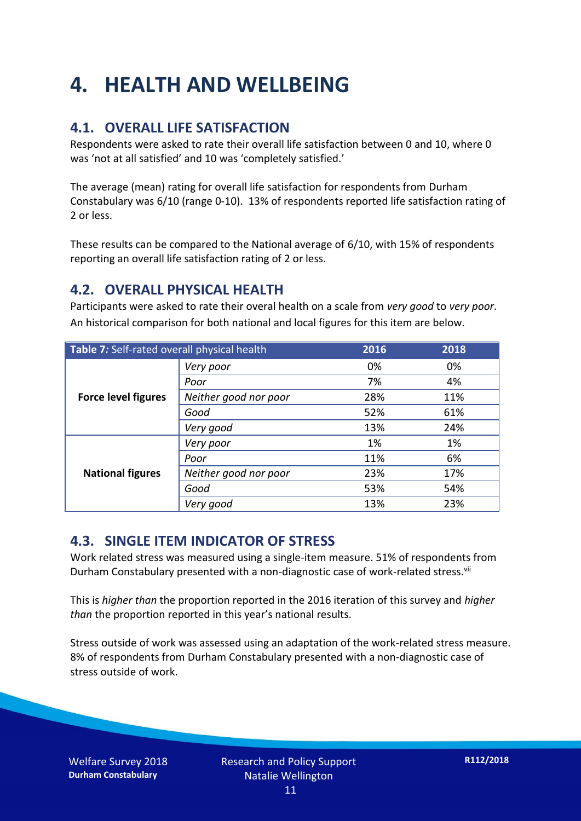## **4. HEALTH AND WELLBEING**

### **4.1. OVERALL LIFE SATISFACTION**

Respondents were asked to rate their overall life satisfaction between 0 and 10, where 0 was 'not at all satisfied' and 10 was 'completely satisfied.'

The average (mean) rating for overall life satisfaction for respondents from Durham Constabulary was 6/10 (range 0-10). 13% of respondents reported life satisfaction rating of 2 or less.

These results can be compared to the National average of 6/10, with 15% of respondents reporting an overall life satisfaction rating of 2 or less.

### **4.2. OVERALL PHYSICAL HEALTH**

Participants were asked to rate their overal health on a scale from *very good* to *very poor*. An historical comparison for both national and local figures for this item are below.

| Table 7: Self-rated overall physical health |                       | 2016 | 2018 |
|---------------------------------------------|-----------------------|------|------|
|                                             | Very poor             | 0%   | 0%   |
|                                             | Poor                  | 7%   | 4%   |
| <b>Force level figures</b>                  | Neither good nor poor | 28%  | 11%  |
|                                             | Good                  | 52%  | 61%  |
|                                             | Very good             | 13%  | 24%  |
| <b>National figures</b>                     | Very poor             | 1%   | 1%   |
|                                             | Poor                  | 11%  | 6%   |
|                                             | Neither good nor poor | 23%  | 17%  |
|                                             | Good                  | 53%  | 54%  |
|                                             | Very good             | 13%  | 23%  |

### **4.3. SINGLE ITEM INDICATOR OF STRESS**

Work related stress was measured using a single-item measure. 51% of respondents from Durham Constabulary presented with a non-diagnostic case of work-related stress.<sup>vii</sup>

This is *higher than* the proportion reported in the 2016 iteration of this survey and *higher than* the proportion reported in this year's national results.

Stress outside of work was assessed using an adaptation of the work-related stress measure. 8% of respondents from Durham Constabulary presented with a non-diagnostic case of stress outside of work.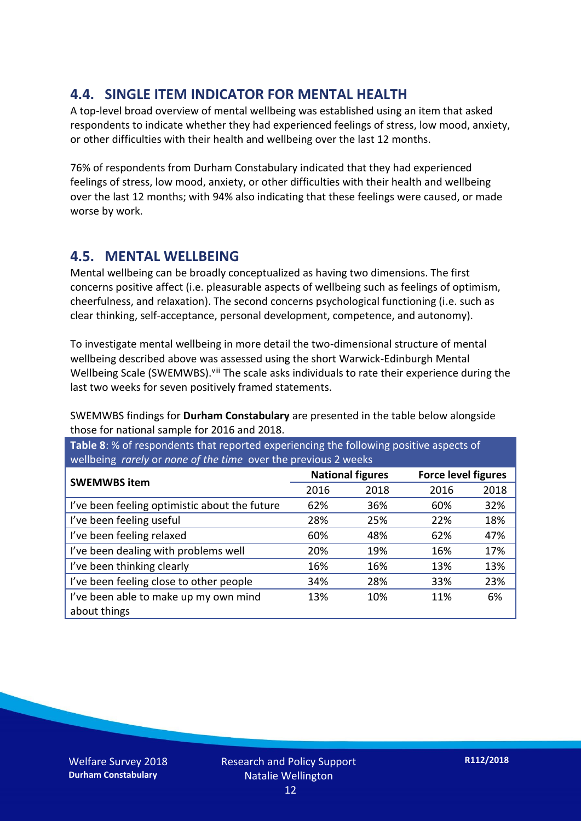### **4.4. SINGLE ITEM INDICATOR FOR MENTAL HEALTH**

A top-level broad overview of mental wellbeing was established using an item that asked respondents to indicate whether they had experienced feelings of stress, low mood, anxiety, or other difficulties with their health and wellbeing over the last 12 months.

76% of respondents from Durham Constabulary indicated that they had experienced feelings of stress, low mood, anxiety, or other difficulties with their health and wellbeing over the last 12 months; with 94% also indicating that these feelings were caused, or made worse by work.

#### **4.5. MENTAL WELLBEING**

Mental wellbeing can be broadly conceptualized as having two dimensions. The first concerns positive affect (i.e. pleasurable aspects of wellbeing such as feelings of optimism, cheerfulness, and relaxation). The second concerns psychological functioning (i.e. such as clear thinking, self-acceptance, personal development, competence, and autonomy).

To investigate mental wellbeing in more detail the two-dimensional structure of mental wellbeing described above was assessed using the short Warwick-Edinburgh Mental Wellbeing Scale (SWEMWBS). viii The scale asks individuals to rate their experience during the last two weeks for seven positively framed statements.

SWEMWBS findings for **Durham Constabulary** are presented in the table below alongside those for national sample for 2016 and 2018.

**Table 8**: % of respondents that reported experiencing the following positive aspects of wellbeing *rarely* or *none of the time* over the previous 2 weeks

|                                               | <b>National figures</b> |      | <b>Force level figures</b> |      |
|-----------------------------------------------|-------------------------|------|----------------------------|------|
| <b>SWEMWBS item</b>                           |                         |      |                            |      |
|                                               | 2016                    | 2018 | 2016                       | 2018 |
| I've been feeling optimistic about the future | 62%                     | 36%  | 60%                        | 32%  |
| I've been feeling useful                      | 28%                     | 25%  | 22%                        | 18%  |
| I've been feeling relaxed                     | 60%                     | 48%  | 62%                        | 47%  |
| I've been dealing with problems well          | 20%                     | 19%  | 16%                        | 17%  |
| I've been thinking clearly                    | 16%                     | 16%  | 13%                        | 13%  |
| I've been feeling close to other people       | 34%                     | 28%  | 33%                        | 23%  |
| I've been able to make up my own mind         | 13%                     | 10%  | 11%                        | 6%   |
| about things                                  |                         |      |                            |      |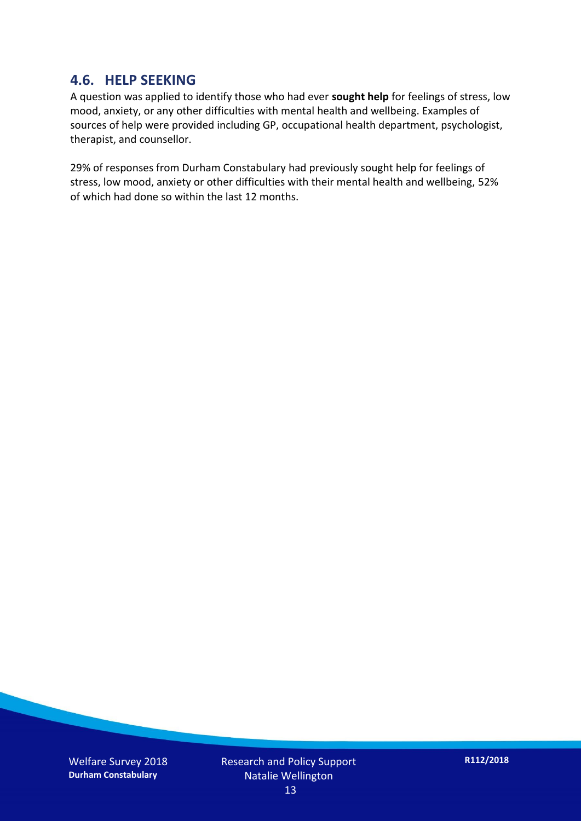#### **4.6. HELP SEEKING**

A question was applied to identify those who had ever **sought help** for feelings of stress, low mood, anxiety, or any other difficulties with mental health and wellbeing. Examples of sources of help were provided including GP, occupational health department, psychologist, therapist, and counsellor.

29% of responses from Durham Constabulary had previously sought help for feelings of stress, low mood, anxiety or other difficulties with their mental health and wellbeing, 52% of which had done so within the last 12 months.

Welfare Survey 2018 **Durham Constabulary**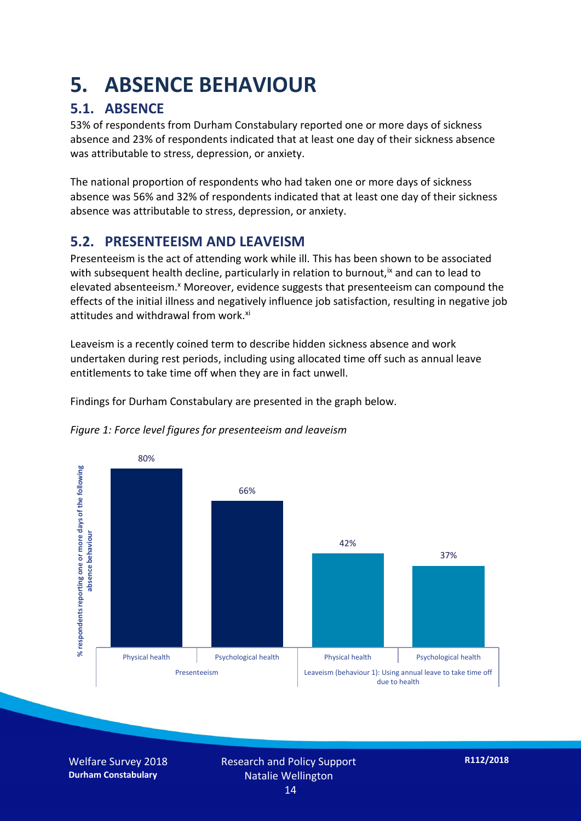## **5. ABSENCE BEHAVIOUR**

### **5.1. ABSENCE**

53% of respondents from Durham Constabulary reported one or more days of sickness absence and 23% of respondents indicated that at least one day of their sickness absence was attributable to stress, depression, or anxiety.

The national proportion of respondents who had taken one or more days of sickness absence was 56% and 32% of respondents indicated that at least one day of their sickness absence was attributable to stress, depression, or anxiety.

### **5.2. PRESENTEEISM AND LEAVEISM**

Presenteeism is the act of attending work while ill. This has been shown to be associated with subsequent health decline, particularly in relation to burnout,  $\alpha$  and can to lead to elevated absenteeism.<sup>x</sup> Moreover, evidence suggests that presenteeism can compound the effects of the initial illness and negatively influence job satisfaction, resulting in negative job attitudes and withdrawal from work.<sup>xi</sup>

Leaveism is a recently coined term to describe hidden sickness absence and work undertaken during rest periods, including using allocated time off such as annual leave entitlements to take time off when they are in fact unwell.

Findings for Durham Constabulary are presented in the graph below.





Welfare Survey 2018 **Durham Constabulary**

Research and Policy Support Natalie Wellington 14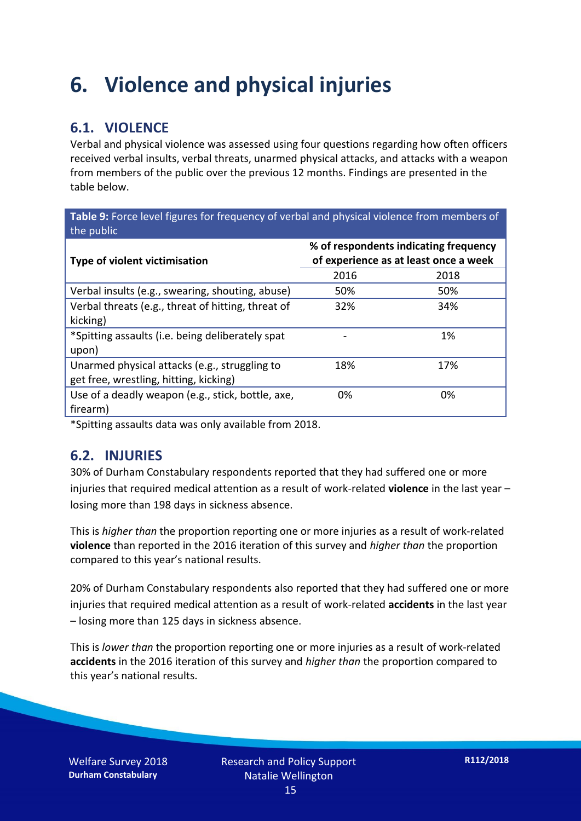## **6. Violence and physical injuries**

### **6.1. VIOLENCE**

Verbal and physical violence was assessed using four questions regarding how often officers received verbal insults, verbal threats, unarmed physical attacks, and attacks with a weapon from members of the public over the previous 12 months. Findings are presented in the table below.

**Table 9:** Force level figures for frequency of verbal and physical violence from members of the public

| <b>Type of violent victimisation</b>               | % of respondents indicating frequency<br>of experience as at least once a week |      |  |
|----------------------------------------------------|--------------------------------------------------------------------------------|------|--|
|                                                    | 2016                                                                           | 2018 |  |
| Verbal insults (e.g., swearing, shouting, abuse)   | 50%                                                                            | 50%  |  |
| Verbal threats (e.g., threat of hitting, threat of | 32%                                                                            | 34%  |  |
| kicking)                                           |                                                                                |      |  |
| *Spitting assaults (i.e. being deliberately spat   |                                                                                | 1%   |  |
| upon)                                              |                                                                                |      |  |
| Unarmed physical attacks (e.g., struggling to      | 18%                                                                            | 17%  |  |
| get free, wrestling, hitting, kicking)             |                                                                                |      |  |
| Use of a deadly weapon (e.g., stick, bottle, axe,  | 0%                                                                             | 0%   |  |
| firearm)                                           |                                                                                |      |  |

\*Spitting assaults data was only available from 2018.

#### **6.2. INJURIES**

30% of Durham Constabulary respondents reported that they had suffered one or more injuries that required medical attention as a result of work-related **violence** in the last year – losing more than 198 days in sickness absence.

This is *higher than* the proportion reporting one or more injuries as a result of work-related **violence** than reported in the 2016 iteration of this survey and *higher than* the proportion compared to this year's national results.

20% of Durham Constabulary respondents also reported that they had suffered one or more injuries that required medical attention as a result of work-related **accidents** in the last year – losing more than 125 days in sickness absence.

This is *lower than* the proportion reporting one or more injuries as a result of work-related **accidents** in the 2016 iteration of this survey and *higher than* the proportion compared to this year's national results.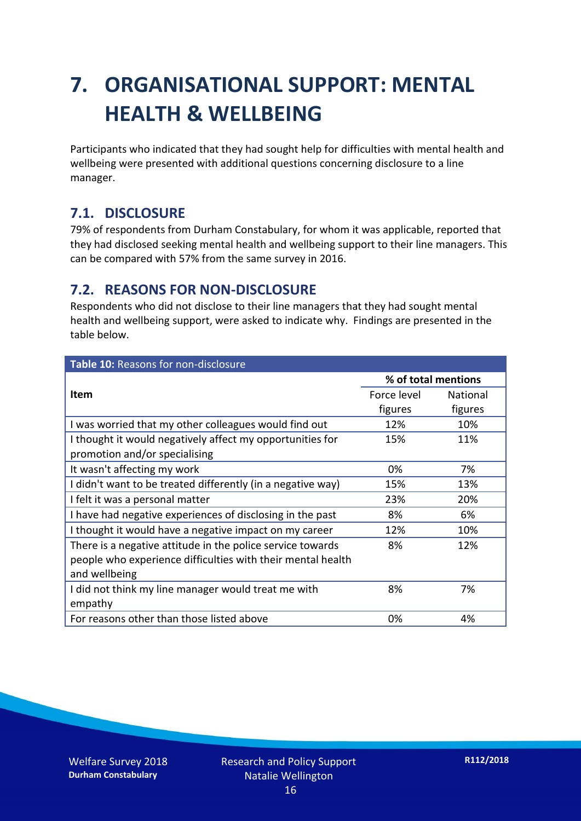## **7. ORGANISATIONAL SUPPORT: MENTAL HEALTH & WELLBEING**

Participants who indicated that they had sought help for difficulties with mental health and wellbeing were presented with additional questions concerning disclosure to a line manager.

#### **7.1. DISCLOSURE**

79% of respondents from Durham Constabulary, for whom it was applicable, reported that they had disclosed seeking mental health and wellbeing support to their line managers. This can be compared with 57% from the same survey in 2016.

#### **7.2. REASONS FOR NON-DISCLOSURE**

Respondents who did not disclose to their line managers that they had sought mental health and wellbeing support, were asked to indicate why. Findings are presented in the table below.

| Table 10: Reasons for non-disclosure                        |                     |                 |
|-------------------------------------------------------------|---------------------|-----------------|
|                                                             | % of total mentions |                 |
| Item                                                        | Force level         | <b>National</b> |
|                                                             | figures             | figures         |
| I was worried that my other colleagues would find out       | 12%                 | 10%             |
| I thought it would negatively affect my opportunities for   | 15%                 | 11%             |
| promotion and/or specialising                               |                     |                 |
| It wasn't affecting my work                                 | 0%                  | 7%              |
| I didn't want to be treated differently (in a negative way) | 15%                 | 13%             |
| I felt it was a personal matter                             | 23%                 | 20%             |
| I have had negative experiences of disclosing in the past   | 8%                  | 6%              |
| I thought it would have a negative impact on my career      | 12%                 | 10%             |
| There is a negative attitude in the police service towards  | 8%                  | 12%             |
| people who experience difficulties with their mental health |                     |                 |
| and wellbeing                                               |                     |                 |
| I did not think my line manager would treat me with         | 8%                  | 7%              |
| empathy                                                     |                     |                 |
| For reasons other than those listed above                   | 0%                  | 4%              |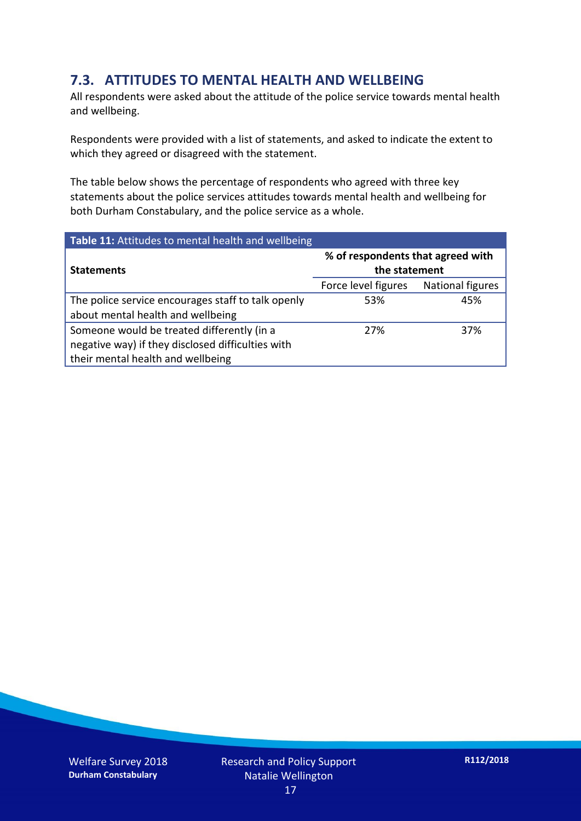### **7.3. ATTITUDES TO MENTAL HEALTH AND WELLBEING**

All respondents were asked about the attitude of the police service towards mental health and wellbeing.

Respondents were provided with a list of statements, and asked to indicate the extent to which they agreed or disagreed with the statement.

The table below shows the percentage of respondents who agreed with three key statements about the police services attitudes towards mental health and wellbeing for both Durham Constabulary, and the police service as a whole.

| Table 11: Attitudes to mental health and wellbeing |                                                    |                  |
|----------------------------------------------------|----------------------------------------------------|------------------|
| <b>Statements</b>                                  | % of respondents that agreed with<br>the statement |                  |
|                                                    | Force level figures                                | National figures |
| The police service encourages staff to talk openly | 53%                                                | 45%              |
| about mental health and wellbeing                  |                                                    |                  |
| Someone would be treated differently (in a         | 27%                                                | 37%              |
| negative way) if they disclosed difficulties with  |                                                    |                  |
| their mental health and wellbeing                  |                                                    |                  |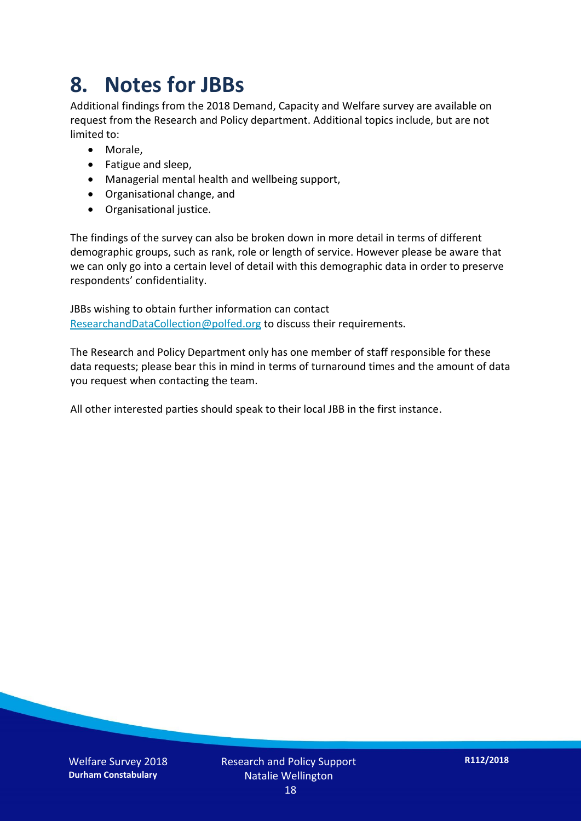## **8. Notes for JBBs**

Additional findings from the 2018 Demand, Capacity and Welfare survey are available on request from the Research and Policy department. Additional topics include, but are not limited to:

- Morale,
- Fatigue and sleep,
- Managerial mental health and wellbeing support,
- Organisational change, and
- Organisational justice.

The findings of the survey can also be broken down in more detail in terms of different demographic groups, such as rank, role or length of service. However please be aware that we can only go into a certain level of detail with this demographic data in order to preserve respondents' confidentiality.

JBBs wishing to obtain further information can contact [ResearchandDataCollection@polfed.org](mailto:ResearchandDataCollection@polfed.org) to discuss their requirements.

The Research and Policy Department only has one member of staff responsible for these data requests; please bear this in mind in terms of turnaround times and the amount of data you request when contacting the team.

All other interested parties should speak to their local JBB in the first instance.